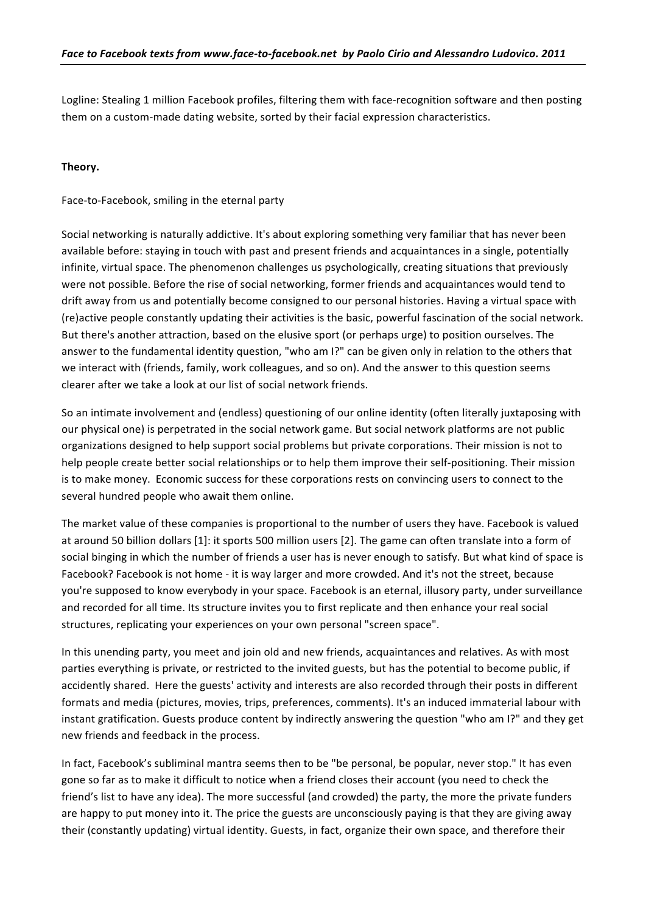Logline: Stealing 1 million Facebook profiles, filtering them with face-recognition software and then posting them on a custom‐made dating website, sorted by their facial expression characteristics.

# **Theory.**

# Face-to-Facebook, smiling in the eternal party

Social networking is naturally addictive. It's about exploring something very familiar that has never been available before: staying in touch with past and present friends and acquaintances in a single, potentially infinite, virtual space. The phenomenon challenges us psychologically, creating situations that previously were not possible. Before the rise of social networking, former friends and acquaintances would tend to drift away from us and potentially become consigned to our personal histories. Having a virtual space with (re)active people constantly updating their activities is the basic, powerful fascination of the social network. But there's another attraction, based on the elusive sport (or perhaps urge) to position ourselves. The answer to the fundamental identity question, "who am I?" can be given only in relation to the others that we interact with (friends, family, work colleagues, and so on). And the answer to this question seems clearer after we take a look at our list of social network friends.

So an intimate involvement and (endless) questioning of our online identity (often literally juxtaposing with our physical one) is perpetrated in the social network game. But social network platforms are not public organizations designed to help support social problems but private corporations. Their mission is not to help people create better social relationships or to help them improve their self-positioning. Their mission is to make money. Economic success for these corporations rests on convincing users to connect to the several hundred people who await them online.

The market value of these companies is proportional to the number of users they have. Facebook is valued at around 50 billion dollars [1]: it sports 500 million users [2]. The game can often translate into a form of social binging in which the number of friends a user has is never enough to satisfy. But what kind of space is Facebook? Facebook is not home ‐ it is way larger and more crowded. And it's not the street, because you're supposed to know everybody in your space. Facebook is an eternal, illusory party, under surveillance and recorded for all time. Its structure invites you to first replicate and then enhance your real social structures, replicating your experiences on your own personal "screen space".

In this unending party, you meet and join old and new friends, acquaintances and relatives. As with most parties everything is private, or restricted to the invited guests, but has the potential to become public, if accidently shared. Here the guests' activity and interests are also recorded through their posts in different formats and media (pictures, movies, trips, preferences, comments). It's an induced immaterial labour with instant gratification. Guests produce content by indirectly answering the question "who am I?" and they get new friends and feedback in the process.

In fact, Facebook's subliminal mantra seems then to be "be personal, be popular, never stop." It has even gone so far as to make it difficult to notice when a friend closes their account (you need to check the friend's list to have any idea). The more successful (and crowded) the party, the more the private funders are happy to put money into it. The price the guests are unconsciously paying is that they are giving away their (constantly updating) virtual identity. Guests, in fact, organize their own space, and therefore their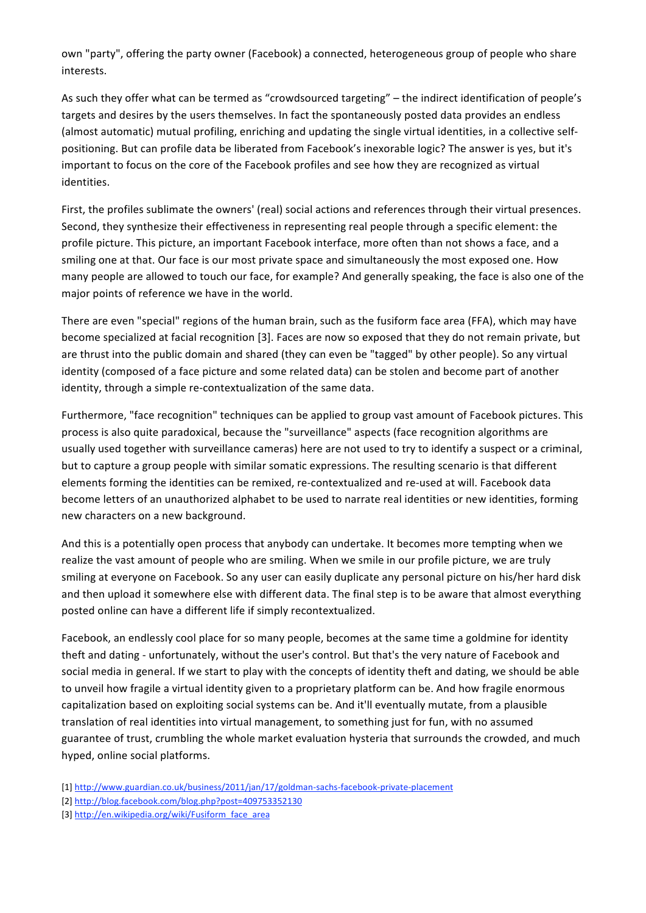own "party", offering the party owner (Facebook) a connected, heterogeneous group of people who share interests.

As such they offer what can be termed as "crowdsourced targeting" – the indirect identification of people's targets and desires by the users themselves. In fact the spontaneously posted data provides an endless (almost automatic) mutual profiling, enriching and updating the single virtual identities, in a collective self‐ positioning. But can profile data be liberated from Facebook's inexorable logic? The answer is yes, but it's important to focus on the core of the Facebook profiles and see how they are recognized as virtual identities.

First, the profiles sublimate the owners' (real) social actions and references through their virtual presences. Second, they synthesize their effectiveness in representing real people through a specific element: the profile picture. This picture, an important Facebook interface, more often than not shows a face, and a smiling one at that. Our face is our most private space and simultaneously the most exposed one. How many people are allowed to touch our face, for example? And generally speaking, the face is also one of the major points of reference we have in the world.

There are even "special" regions of the human brain, such as the fusiform face area (FFA), which may have become specialized at facial recognition [3]. Faces are now so exposed that they do not remain private, but are thrust into the public domain and shared (they can even be "tagged" by other people). So any virtual identity (composed of a face picture and some related data) can be stolen and become part of another identity, through a simple re-contextualization of the same data.

Furthermore, "face recognition" techniques can be applied to group vast amount of Facebook pictures. This process is also quite paradoxical, because the "surveillance" aspects (face recognition algorithms are usually used together with surveillance cameras) here are not used to try to identify a suspect or a criminal, but to capture a group people with similar somatic expressions. The resulting scenario is that different elements forming the identities can be remixed, re‐contextualized and re‐used at will. Facebook data become letters of an unauthorized alphabet to be used to narrate real identities or new identities, forming new characters on a new background.

And this is a potentially open process that anybody can undertake. It becomes more tempting when we realize the vast amount of people who are smiling. When we smile in our profile picture, we are truly smiling at everyone on Facebook. So any user can easily duplicate any personal picture on his/her hard disk and then upload it somewhere else with different data. The final step is to be aware that almost everything posted online can have a different life if simply recontextualized.

Facebook, an endlessly cool place for so many people, becomes at the same time a goldmine for identity theft and dating ‐ unfortunately, without the user's control. But that's the very nature of Facebook and social media in general. If we start to play with the concepts of identity theft and dating, we should be able to unveil how fragile a virtual identity given to a proprietary platform can be. And how fragile enormous capitalization based on exploiting social systems can be. And it'll eventually mutate, from a plausible translation of real identities into virtual management, to something just for fun, with no assumed guarantee of trust, crumbling the whole market evaluation hysteria that surrounds the crowded, and much hyped, online social platforms.

<sup>[1]</sup> http://www.guardian.co.uk/business/2011/jan/17/goldman‐sachs‐facebook‐private‐placement

<sup>[2]</sup> http://blog.facebook.com/blog.php?post=409753352130

<sup>[3]</sup> http://en.wikipedia.org/wiki/Fusiform\_face\_area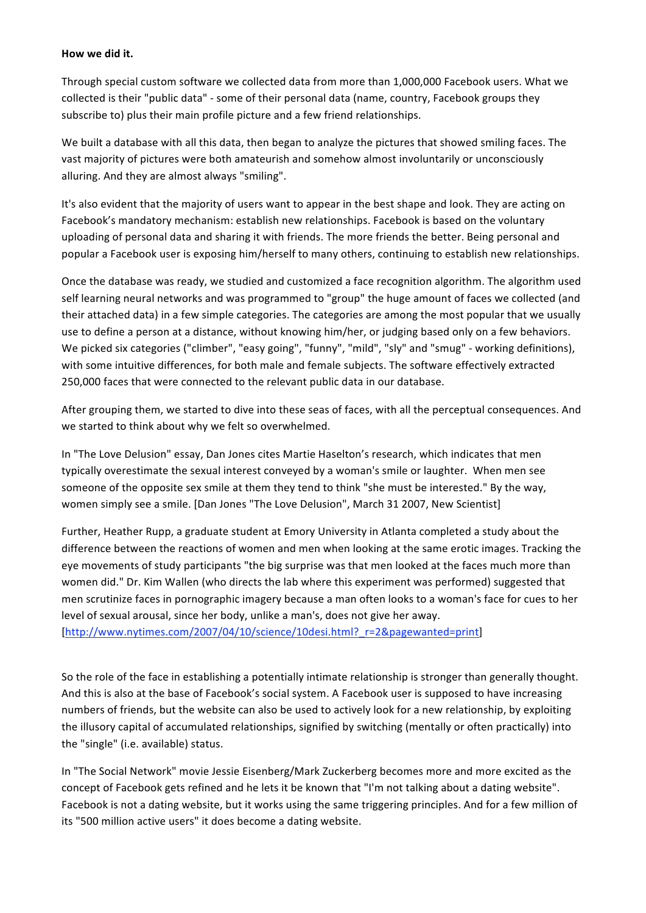### **How we did it.**

Through special custom software we collected data from more than 1,000,000 Facebook users. What we collected is their "public data" ‐ some of their personal data (name, country, Facebook groups they subscribe to) plus their main profile picture and a few friend relationships.

We built a database with all this data, then began to analyze the pictures that showed smiling faces. The vast majority of pictures were both amateurish and somehow almost involuntarily or unconsciously alluring. And they are almost always "smiling".

It's also evident that the majority of users want to appear in the best shape and look. They are acting on Facebook's mandatory mechanism: establish new relationships. Facebook is based on the voluntary uploading of personal data and sharing it with friends. The more friends the better. Being personal and popular a Facebook user is exposing him/herself to many others, continuing to establish new relationships.

Once the database was ready, we studied and customized a face recognition algorithm. The algorithm used self learning neural networks and was programmed to "group" the huge amount of faces we collected (and their attached data) in a few simple categories. The categories are among the most popular that we usually use to define a person at a distance, without knowing him/her, or judging based only on a few behaviors. We picked six categories ("climber", "easy going", "funny", "mild", "sly" and "smug" - working definitions), with some intuitive differences, for both male and female subjects. The software effectively extracted 250,000 faces that were connected to the relevant public data in our database.

After grouping them, we started to dive into these seas of faces, with all the perceptual consequences. And we started to think about why we felt so overwhelmed.

In "The Love Delusion" essay, Dan Jones cites Martie Haselton's research, which indicates that men typically overestimate the sexual interest conveyed by a woman's smile or laughter. When men see someone of the opposite sex smile at them they tend to think "she must be interested." By the way, women simply see a smile. [Dan Jones "The Love Delusion", March 31 2007, New Scientist]

Further, Heather Rupp, a graduate student at Emory University in Atlanta completed a study about the difference between the reactions of women and men when looking at the same erotic images. Tracking the eye movements of study participants "the big surprise was that men looked at the faces much more than women did." Dr. Kim Wallen (who directs the lab where this experiment was performed) suggested that men scrutinize faces in pornographic imagery because a man often looks to a woman's face for cues to her level of sexual arousal, since her body, unlike a man's, does not give her away.

[http://www.nytimes.com/2007/04/10/science/10desi.html?\_r=2&pagewanted=print]

So the role of the face in establishing a potentially intimate relationship is stronger than generally thought. And this is also at the base of Facebook's social system. A Facebook user is supposed to have increasing numbers of friends, but the website can also be used to actively look for a new relationship, by exploiting the illusory capital of accumulated relationships, signified by switching (mentally or often practically) into the "single" (i.e. available) status.

In "The Social Network" movie Jessie Eisenberg/Mark Zuckerberg becomes more and more excited as the concept of Facebook gets refined and he lets it be known that "I'm not talking about a dating website". Facebook is not a dating website, but it works using the same triggering principles. And for a few million of its "500 million active users" it does become a dating website.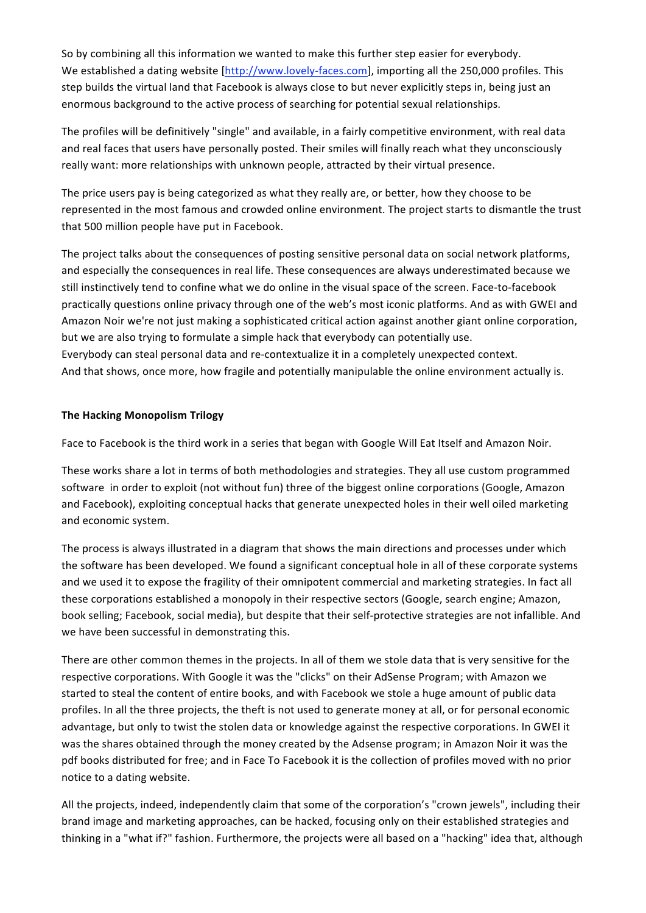So by combining all this information we wanted to make this further step easier for everybody. We established a dating website [http://www.lovely-faces.com], importing all the 250,000 profiles. This step builds the virtual land that Facebook is always close to but never explicitly steps in, being just an enormous background to the active process of searching for potential sexual relationships.

The profiles will be definitively "single" and available, in a fairly competitive environment, with real data and real faces that users have personally posted. Their smiles will finally reach what they unconsciously really want: more relationships with unknown people, attracted by their virtual presence.

The price users pay is being categorized as what they really are, or better, how they choose to be represented in the most famous and crowded online environment. The project starts to dismantle the trust that 500 million people have put in Facebook.

The project talks about the consequences of posting sensitive personal data on social network platforms, and especially the consequences in real life. These consequences are always underestimated because we still instinctively tend to confine what we do online in the visual space of the screen. Face-to-facebook practically questions online privacy through one of the web's most iconic platforms. And as with GWEI and Amazon Noir we're not just making a sophisticated critical action against another giant online corporation, but we are also trying to formulate a simple hack that everybody can potentially use. Everybody can steal personal data and re‐contextualize it in a completely unexpected context. And that shows, once more, how fragile and potentially manipulable the online environment actually is.

# **The Hacking Monopolism Trilogy**

Face to Facebook is the third work in a series that began with Google Will Eat Itself and Amazon Noir.

These works share a lot in terms of both methodologies and strategies. They all use custom programmed software in order to exploit (not without fun) three of the biggest online corporations (Google, Amazon and Facebook), exploiting conceptual hacks that generate unexpected holes in their well oiled marketing and economic system.

The process is always illustrated in a diagram that shows the main directions and processes under which the software has been developed. We found a significant conceptual hole in all of these corporate systems and we used it to expose the fragility of their omnipotent commercial and marketing strategies. In fact all these corporations established a monopoly in their respective sectors (Google, search engine; Amazon, book selling; Facebook, social media), but despite that their self‐protective strategies are not infallible. And we have been successful in demonstrating this.

There are other common themes in the projects. In all of them we stole data that is very sensitive for the respective corporations. With Google it was the "clicks" on their AdSense Program; with Amazon we started to steal the content of entire books, and with Facebook we stole a huge amount of public data profiles. In all the three projects, the theft is not used to generate money at all, or for personal economic advantage, but only to twist the stolen data or knowledge against the respective corporations. In GWEI it was the shares obtained through the money created by the Adsense program; in Amazon Noir it was the pdf books distributed for free; and in Face To Facebook it is the collection of profiles moved with no prior notice to a dating website.

All the projects, indeed, independently claim that some of the corporation's "crown jewels", including their brand image and marketing approaches, can be hacked, focusing only on their established strategies and thinking in a "what if?" fashion. Furthermore, the projects were all based on a "hacking" idea that, although